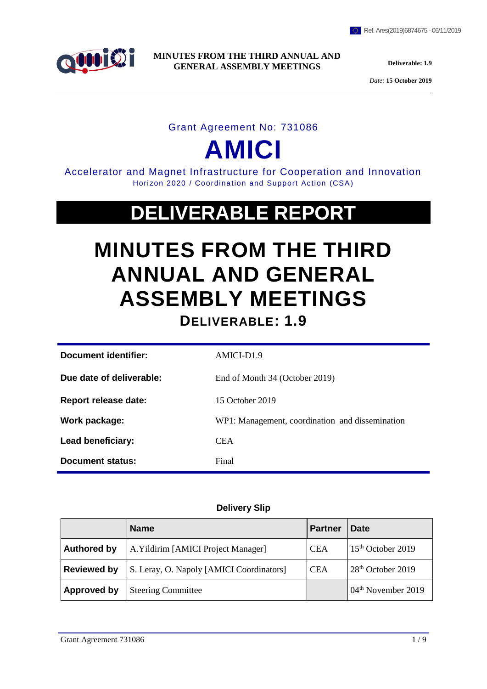

*Date:* **15 October 2019**

# Grant Agreement No: 731086

# **AMICI**

Accelerator and Magnet Infrastructure for Cooperation and Innovation Horizon 2020 / Coordination and Support Action (CSA)

# **DELIVERABLE REPORT**

# **MINUTES FROM THE THIRD ANNUAL AND GENERAL ASSEMBLY MEETINGS**

**DELIVERABLE: 1.9**

| Document identifier:     | AMICI-D1.9                                      |
|--------------------------|-------------------------------------------------|
| Due date of deliverable: | End of Month 34 (October 2019)                  |
| Report release date:     | 15 October 2019                                 |
| Work package:            | WP1: Management, coordination and dissemination |
| Lead beneficiary:        | <b>CEA</b>                                      |
| Document status:         | Final                                           |

# **Delivery Slip**

|                    | <b>Name</b>                              | <b>Partner</b> | <b>Date</b>                    |
|--------------------|------------------------------------------|----------------|--------------------------------|
| <b>Authored by</b> | A. Yildirim [AMICI Project Manager]      | <b>CEA</b>     | 15 <sup>th</sup> October 2019  |
| <b>Reviewed by</b> | S. Leray, O. Napoly [AMICI Coordinators] | <b>CEA</b>     | 28 <sup>th</sup> October 2019  |
| Approved by        | <b>Steering Committee</b>                |                | 04 <sup>th</sup> November 2019 |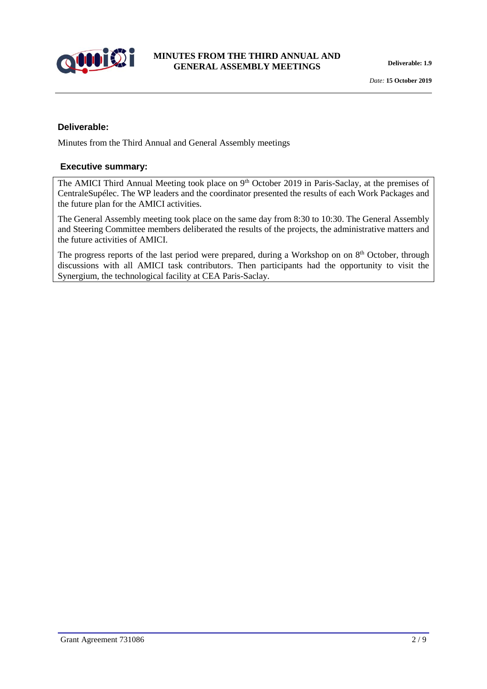

#### **Deliverable:**

Minutes from the Third Annual and General Assembly meetings

#### **Executive summary:**

The AMICI Third Annual Meeting took place on 9<sup>th</sup> October 2019 in Paris-Saclay, at the premises of CentraleSupélec. The WP leaders and the coordinator presented the results of each Work Packages and the future plan for the AMICI activities.

The General Assembly meeting took place on the same day from 8:30 to 10:30. The General Assembly and Steering Committee members deliberated the results of the projects, the administrative matters and the future activities of AMICI.

The progress reports of the last period were prepared, during a Workshop on on 8<sup>th</sup> October, through discussions with all AMICI task contributors. Then participants had the opportunity to visit the Synergium, the technological facility at CEA Paris-Saclay.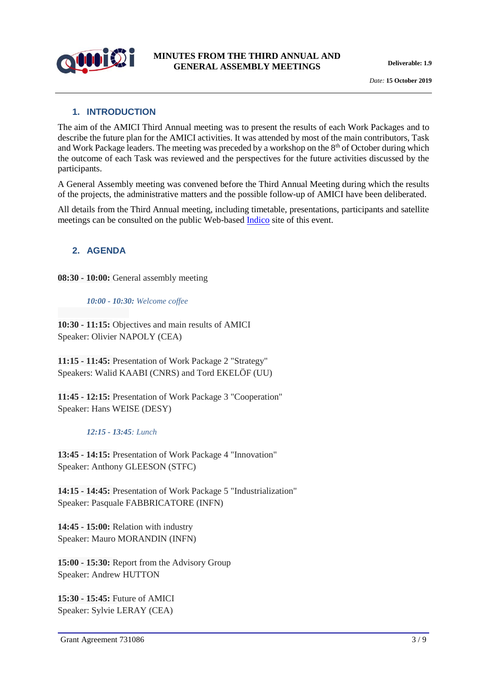

# **1. INTRODUCTION**

The aim of the AMICI Third Annual meeting was to present the results of each Work Packages and to describe the future plan for the AMICI activities. It was attended by most of the main contributors, Task and Work Package leaders. The meeting was preceded by a workshop on the  $8<sup>th</sup>$  of October during which the outcome of each Task was reviewed and the perspectives for the future activities discussed by the participants.

A General Assembly meeting was convened before the Third Annual Meeting during which the results of the projects, the administrative matters and the possible follow-up of AMICI have been deliberated.

All details from the Third Annual meeting, including timetable, presentations, participants and satellite meetings can be consulted on the public Web-based [Indico](https://indico.lal.in2p3.fr/event/5754/) site of this event.

# **2. AGENDA**

**08:30 - 10:00:** General assembly meeting

*10:00 - 10:30: Welcome coffee*

**10:30 - 11:15:** Objectives and main results of AMICI Speaker: Olivier NAPOLY (CEA)

**11:15 - 11:45:** Presentation of Work Package 2 "Strategy" Speakers: Walid KAABI (CNRS) and Tord EKELÖF (UU)

**11:45 - 12:15:** Presentation of Work Package 3 "Cooperation" Speaker: Hans WEISE (DESY)

#### *12:15 - 13:45: Lunch*

**13:45 - 14:15:** Presentation of Work Package 4 "Innovation" Speaker: Anthony GLEESON (STFC)

**14:15 - 14:45:** Presentation of Work Package 5 "Industrialization" Speaker: Pasquale FABBRICATORE (INFN)

**14:45 - 15:00:** Relation with industry Speaker: Mauro MORANDIN (INFN)

**15:00 - 15:30:** Report from the Advisory Group Speaker: Andrew HUTTON

**15:30 - 15:45:** Future of AMICI Speaker: Sylvie LERAY (CEA)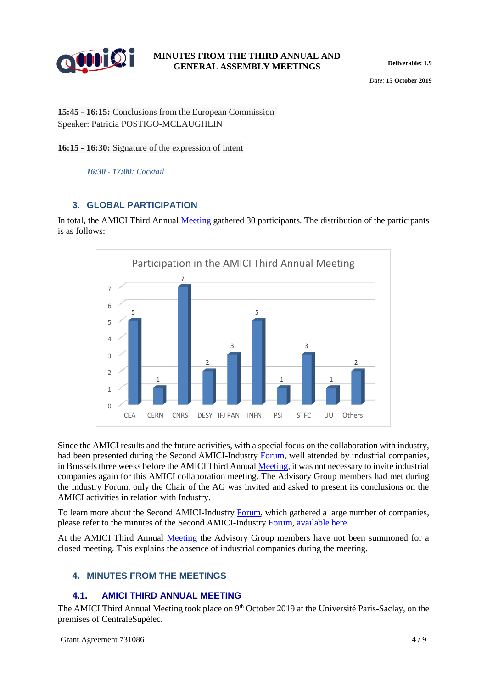

**15:45 - 16:15:** Conclusions from the European Commission Speaker: Patricia POSTIGO-MCLAUGHLIN

**16:15 - 16:30:** Signature of the expression of intent

*16:30 - 17:00: Cocktail*

# **3. GLOBAL PARTICIPATION**

In total, the AMICI Third Annual [Meeting](https://indico.lal.in2p3.fr/event/5754/) gathered 30 participants. The distribution of the participants is as follows:



Since the AMICI results and the future activities, with a special focus on the collaboration with industry, had been presented during the Second AMICI-Industry [Forum,](https://agenda.infn.it/event/18996/) well attended by industrial companies, in Brussels three weeks before the AMICI Third Annua[l Meeting,](https://indico.lal.in2p3.fr/event/5754/) it was not necessary to invite industrial companies again for this AMICI collaboration meeting. The Advisory Group members had met during the Industry Forum, only the Chair of the AG was invited and asked to present its conclusions on the AMICI activities in relation with Industry.

To learn more about the Second AMICI-Industry [Forum,](https://agenda.infn.it/event/18996/) which gathered a large number of companies, please refer to the minutes of the Second AMICI-Industry [Forum,](https://agenda.infn.it/event/18996/) [available here.](http://eu-amici.eu/about/work_packages)

At the AMICI Third Annual [Meeting](https://indico.lal.in2p3.fr/event/5754/) the Advisory Group members have not been summoned for a closed meeting. This explains the absence of industrial companies during the meeting.

# **4. MINUTES FROM THE MEETINGS**

# **4.1. AMICI THIRD ANNUAL MEETING**

The AMICI Third Annual Meeting took place on 9<sup>th</sup> October 2019 at the Université Paris-Saclay, on the premises of CentraleSupélec.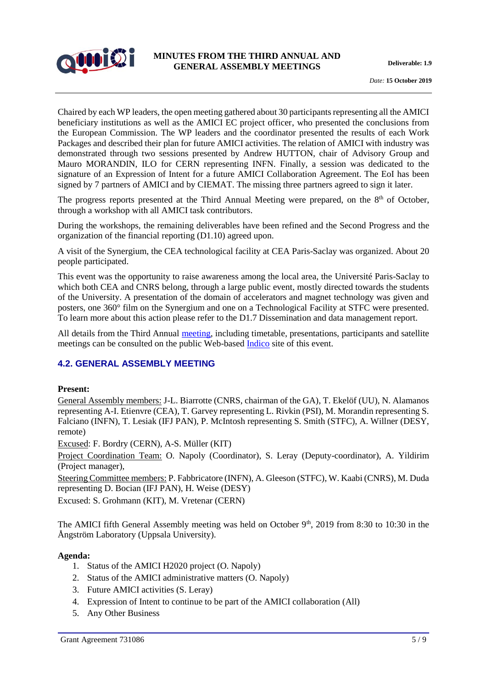

Chaired by each WP leaders, the open meeting gathered about 30 participants representing all the AMICI beneficiary institutions as well as the AMICI EC project officer, who presented the conclusions from the European Commission. The WP leaders and the coordinator presented the results of each Work Packages and described their plan for future AMICI activities. The relation of AMICI with industry was demonstrated through two sessions presented by Andrew HUTTON, chair of Advisory Group and Mauro MORANDIN, ILO for CERN representing INFN. Finally, a session was dedicated to the signature of an Expression of Intent for a future AMICI Collaboration Agreement. The EoI has been signed by 7 partners of AMICI and by CIEMAT. The missing three partners agreed to sign it later.

The progress reports presented at the Third Annual Meeting were prepared, on the 8<sup>th</sup> of October, through a workshop with all AMICI task contributors.

During the workshops, the remaining deliverables have been refined and the Second Progress and the organization of the financial reporting (D1.10) agreed upon.

A visit of the Synergium, the CEA technological facility at CEA Paris-Saclay was organized. About 20 people participated.

This event was the opportunity to raise awareness among the local area, the Université Paris-Saclay to which both CEA and CNRS belong, through a large public event, mostly directed towards the students of the University. A presentation of the domain of accelerators and magnet technology was given and posters, one 360° film on the Synergium and one on a Technological Facility at STFC were presented. To learn more about this action please refer to the D1.7 Dissemination and data management report.

All details from the Third Annual [meeting,](file:///C:/Users/ayildirim/AppData/Local/Microsoft/Windows/INetCache/Content.Outlook/1RET5RD2/AMICI%20Third%20Annual%20Meeting) including timetable, presentations, participants and satellite meetings can be consulted on the public Web-based [Indico](https://indico.lal.in2p3.fr/event/5754/) site of this event.

# **4.2. GENERAL ASSEMBLY MEETING**

#### **Present:**

General Assembly members: J-L. Biarrotte (CNRS, chairman of the GA), T. Ekelöf (UU), N. Alamanos representing A-I. Etienvre (CEA), T. Garvey representing L. Rivkin (PSI), M. Morandin representing S. Falciano (INFN), T. Lesiak (IFJ PAN), P. McIntosh representing S. Smith (STFC), A. Willner (DESY, remote)

Excused: F. Bordry (CERN), A-S. Müller (KIT)

Project Coordination Team: O. Napoly (Coordinator), S. Leray (Deputy-coordinator), A. Yildirim (Project manager),

Steering Committee members: P. Fabbricatore (INFN), A. Gleeson (STFC), W. Kaabi (CNRS), M. Duda representing D. Bocian (IFJ PAN), H. Weise (DESY)

Excused: S. Grohmann (KIT), M. Vretenar (CERN)

The AMICI fifth General Assembly meeting was held on October  $9<sup>th</sup>$ , 2019 from 8:30 to 10:30 in the Ångström Laboratory (Uppsala University).

#### **Agenda:**

- 1. Status of the AMICI H2020 project (O. Napoly)
- 2. Status of the AMICI administrative matters (O. Napoly)
- 3. Future AMICI activities (S. Leray)
- 4. Expression of Intent to continue to be part of the AMICI collaboration (All)
- 5. Any Other Business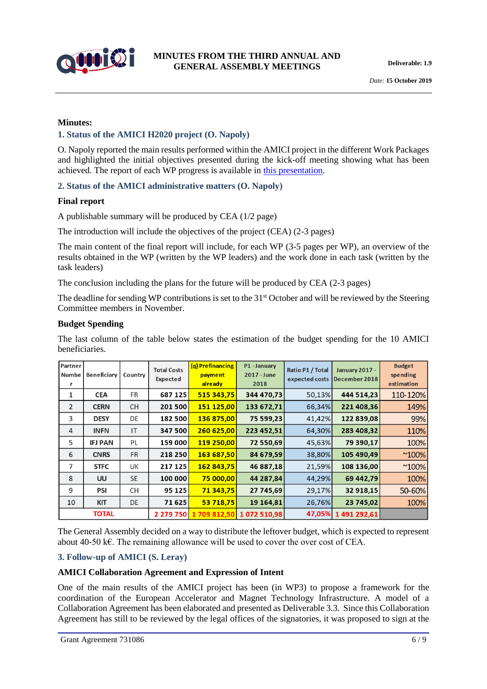

#### **Minutes:**

#### **1. Status of the AMICI H2020 project (O. Napoly)**

O. Napoly reported the main results performed within the AMICI project in the different Work Packages and highlighted the initial objectives presented during the kick-off meeting showing what has been achieved. The report of each WP progress is available in [this presentation.](https://indico.lal.in2p3.fr/event/5754/contributions/18601/attachments/14551/17975/AMICI_Napoly_GA.pdf)

#### **2. Status of the AMICI administrative matters (O. Napoly)**

#### **Final report**

A publishable summary will be produced by CEA (1/2 page)

The introduction will include the objectives of the project (CEA) (2-3 pages)

The main content of the final report will include, for each WP (3-5 pages per WP), an overview of the results obtained in the WP (written by the WP leaders) and the work done in each task (written by the task leaders)

The conclusion including the plans for the future will be produced by CEA (2-3 pages)

The deadline for sending WP contributions is set to the 31<sup>st</sup> October and will be reviewed by the Steering Committee members in November.

#### **Budget Spending**

The last column of the table below states the estimation of the budget spending for the 10 AMICI beneficiaries.

| Partner<br>Numbe | <b>Beneficiary</b> | Country   | <b>Total Costs</b><br>Expected | (q) Prefinancing<br>payment<br>already | P1 - January<br>2017 - June<br>2018 | Ratio P1 / Total<br>expected costs | <b>January 2017 -</b><br>December 2018 | <b>Budget</b><br>spending<br>estimation |
|------------------|--------------------|-----------|--------------------------------|----------------------------------------|-------------------------------------|------------------------------------|----------------------------------------|-----------------------------------------|
| 1                | <b>CEA</b>         | FR        | 687 125                        | 515 343,75                             | 344 470.73                          | 50,13%                             | 444 514,23                             | 110-120%                                |
| 2                | <b>CERN</b>        | <b>CH</b> | 201 500                        | 151 125,00                             | 133 672,71                          | 66,34%                             | 221 408,36                             | 149%                                    |
| 3                | <b>DESY</b>        | DE        | 182 500                        | 136 875,00                             | 75 599,23                           | 41,42%                             | 122 839,08                             | 99%                                     |
| 4                | <b>INFN</b>        | IT        | 347 500                        | 260 625,00                             | 223 452,51                          | 64,30%                             | 283 408,32                             | 110%                                    |
| 5                | <b>IFJ PAN</b>     | PL        | 159 000                        | 119 250,00                             | 72 550,69                           | 45,63%                             | 79 390,17                              | 100%                                    |
| 6                | <b>CNRS</b>        | <b>FR</b> | 218 250                        | 163 687,50                             | 84 679,59                           | 38,80%                             | 105 490,49                             | $^{\sim}100\%$                          |
| $\overline{7}$   | <b>STFC</b>        | UK        | 217 125                        | 162 843,75                             | 46 887,18                           | 21,59%                             | 108 136,00                             | $^{\sim}100\%$                          |
| 8                | UU                 | <b>SE</b> | 100 000                        | 75 000,00                              | 44 287,84                           | 44,29%                             | 69 442,79                              | 100%                                    |
| 9                | PSI                | CH        | 95 125                         | 71 343.75                              | 27 745,69                           | 29,17%                             | 32 918,15                              | 50-60%                                  |
| 10               | <b>KIT</b>         | DE        | 71 625                         | 53 718,75                              | 19 164,81                           | 26,76%                             | 23 745,02                              | 100%                                    |
|                  | <b>TOTAL</b>       |           | 2 279 750                      | 1709812.50                             | 1072510.98                          | 47,05%                             | 1491292.61                             |                                         |

The General Assembly decided on a way to distribute the leftover budget, which is expected to represent about 40-50 k€. The remaining allowance will be used to cover the over cost of CEA.

#### **3. Follow-up of AMICI (S. Leray)**

#### **AMICI Collaboration Agreement and Expression of Intent**

One of the main results of the AMICI project has been (in WP3) to propose a framework for the coordination of the European Accelerator and Magnet Technology Infrastructure. A model of a Collaboration Agreement has been elaborated and presented as Deliverable 3.3. Since this Collaboration Agreement has still to be reviewed by the legal offices of the signatories, it was proposed to sign at the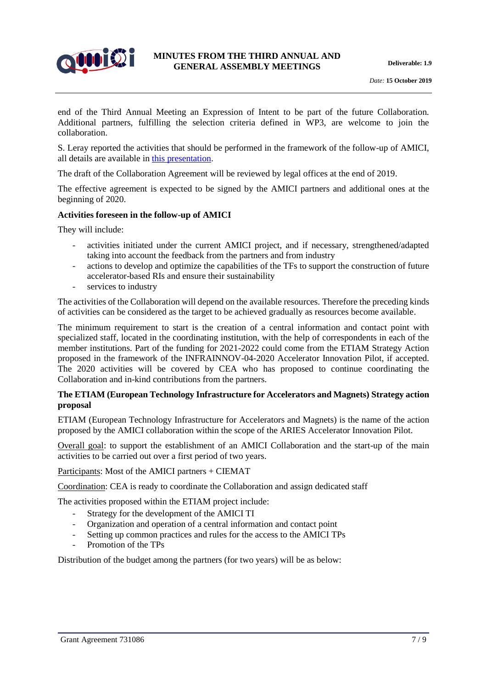

end of the Third Annual Meeting an Expression of Intent to be part of the future Collaboration. Additional partners, fulfilling the selection criteria defined in WP3, are welcome to join the collaboration.

S. Leray reported the activities that should be performed in the framework of the follow-up of AMICI, all details are available i[n this presentation.](https://indico.lal.in2p3.fr/event/5754/timetable/#20191009)

The draft of the Collaboration Agreement will be reviewed by legal offices at the end of 2019.

The effective agreement is expected to be signed by the AMICI partners and additional ones at the beginning of 2020.

#### **Activities foreseen in the follow-up of AMICI**

They will include:

- activities initiated under the current AMICI project, and if necessary, strengthened/adapted taking into account the feedback from the partners and from industry
- actions to develop and optimize the capabilities of the TFs to support the construction of future accelerator-based RIs and ensure their sustainability
- services to industry

The activities of the Collaboration will depend on the available resources. Therefore the preceding kinds of activities can be considered as the target to be achieved gradually as resources become available.

The minimum requirement to start is the creation of a central information and contact point with specialized staff, located in the coordinating institution, with the help of correspondents in each of the member institutions. Part of the funding for 2021-2022 could come from the ETIAM Strategy Action proposed in the framework of the INFRAINNOV-04-2020 Accelerator Innovation Pilot, if accepted. The 2020 activities will be covered by CEA who has proposed to continue coordinating the Collaboration and in-kind contributions from the partners.

#### **The ETIAM (European Technology Infrastructure for Accelerators and Magnets) Strategy action proposal**

ETIAM (European Technology Infrastructure for Accelerators and Magnets) is the name of the action proposed by the AMICI collaboration within the scope of the ARIES Accelerator Innovation Pilot.

Overall goal: to support the establishment of an AMICI Collaboration and the start-up of the main activities to be carried out over a first period of two years.

Participants: Most of the AMICI partners + CIEMAT

Coordination: CEA is ready to coordinate the Collaboration and assign dedicated staff

The activities proposed within the ETIAM project include:

- Strategy for the development of the AMICI TI
- Organization and operation of a central information and contact point
- Setting up common practices and rules for the access to the AMICI TPs
- Promotion of the TPs

Distribution of the budget among the partners (for two years) will be as below: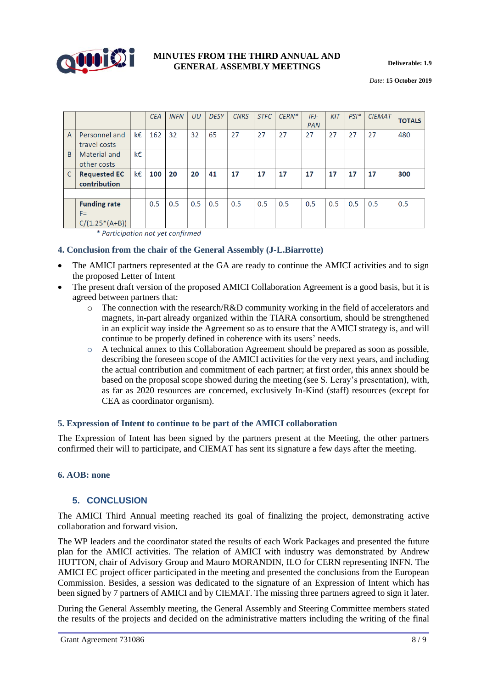

*Date:* **15 October 2019**

|                |                                                  |    | <b>CEA</b> | <b>INFN</b> | UU  | <b>DESY</b> | <b>CNRS</b> | <b>STFC</b> | $CERN*$ | $IFJ-$<br><b>PAN</b> | KIT | $PSI^*$ | <b>CIEMAT</b> | <b>TOTALS</b> |
|----------------|--------------------------------------------------|----|------------|-------------|-----|-------------|-------------|-------------|---------|----------------------|-----|---------|---------------|---------------|
| $\overline{A}$ | Personnel and<br>travel costs                    | k€ | 162        | 32          | 32  | 65          | 27          | 27          | 27      | 27                   | 27  | 27      | 27            | 480           |
| <sub>B</sub>   | Material and<br>other costs                      | k€ |            |             |     |             |             |             |         |                      |     |         |               |               |
| $\mathsf{C}$   | <b>Requested EC</b><br>contribution              | k€ | 100        | 20          | 20  | 41          | 17          | 17          | 17      | 17                   | 17  | 17      | 17            | 300           |
|                |                                                  |    |            |             |     |             |             |             |         |                      |     |         |               |               |
|                | <b>Funding rate</b><br>$F =$<br>$C/(1.25*(A+B))$ |    | 0.5        | 0.5         | 0.5 | 0.5         | 0.5         | 0.5         | 0.5     | 0.5                  | 0.5 | 0.5     | 0.5           | 0.5           |

\* Participation not yet confirmed

#### **4. Conclusion from the chair of the General Assembly (J-L.Biarrotte)**

- The AMICI partners represented at the GA are ready to continue the AMICI activities and to sign the proposed Letter of Intent
- The present draft version of the proposed AMICI Collaboration Agreement is a good basis, but it is agreed between partners that:
	- $\circ$  The connection with the research/R&D community working in the field of accelerators and magnets, in-part already organized within the TIARA consortium, should be strengthened in an explicit way inside the Agreement so as to ensure that the AMICI strategy is, and will continue to be properly defined in coherence with its users' needs.
	- $\circ$  A technical annex to this Collaboration Agreement should be prepared as soon as possible, describing the foreseen scope of the AMICI activities for the very next years, and including the actual contribution and commitment of each partner; at first order, this annex should be based on the proposal scope showed during the meeting (see S. Leray's presentation), with, as far as 2020 resources are concerned, exclusively In-Kind (staff) resources (except for CEA as coordinator organism).

#### **5. Expression of Intent to continue to be part of the AMICI collaboration**

The Expression of Intent has been signed by the partners present at the Meeting, the other partners confirmed their will to participate, and CIEMAT has sent its signature a few days after the meeting.

#### **6. AOB: none**

# **5. CONCLUSION**

The AMICI Third Annual meeting reached its goal of finalizing the project, demonstrating active collaboration and forward vision.

The WP leaders and the coordinator stated the results of each Work Packages and presented the future plan for the AMICI activities. The relation of AMICI with industry was demonstrated by Andrew HUTTON, chair of Advisory Group and Mauro MORANDIN, ILO for CERN representing INFN. The AMICI EC project officer participated in the meeting and presented the conclusions from the European Commission. Besides, a session was dedicated to the signature of an Expression of Intent which has been signed by 7 partners of AMICI and by CIEMAT. The missing three partners agreed to sign it later.

During the General Assembly meeting, the General Assembly and Steering Committee members stated the results of the projects and decided on the administrative matters including the writing of the final